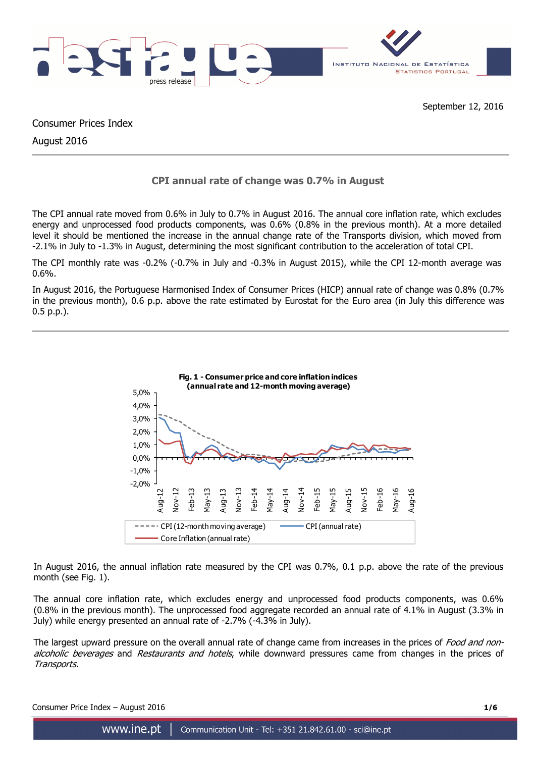

Consumer Prices Index

August 2016

# **CPI annual rate of change was 0.7% in August**

The CPI annual rate moved from 0.6% in July to 0.7% in August 2016. The annual core inflation rate, which excludes energy and unprocessed food products components, was 0.6% (0.8% in the previous month). At a more detailed level it should be mentioned the increase in the annual change rate of the Transports division, which moved from -2.1% in July to -1.3% in August, determining the most significant contribution to the acceleration of total CPI.

The CPI monthly rate was -0.2% (-0.7% in July and -0.3% in August 2015), while the CPI 12-month average was 0.6%.

In August 2016, the Portuguese Harmonised Index of Consumer Prices (HICP) annual rate of change was 0.8% (0.7% in the previous month), 0.6 p.p. above the rate estimated by Eurostat for the Euro area (in July this difference was 0.5 p.p.).



In August 2016, the annual inflation rate measured by the CPI was 0.7%, 0.1 p.p. above the rate of the previous month (see Fig. 1).

The annual core inflation rate, which excludes energy and unprocessed food products components, was 0.6% (0.8% in the previous month). The unprocessed food aggregate recorded an annual rate of 4.1% in August (3.3% in July) while energy presented an annual rate of -2.7% (-4.3% in July).

The largest upward pressure on the overall annual rate of change came from increases in the prices of Food and nonalcoholic beverages and Restaurants and hotels, while downward pressures came from changes in the prices of Transports.

Consumer Price Index – August 2016 **1/6**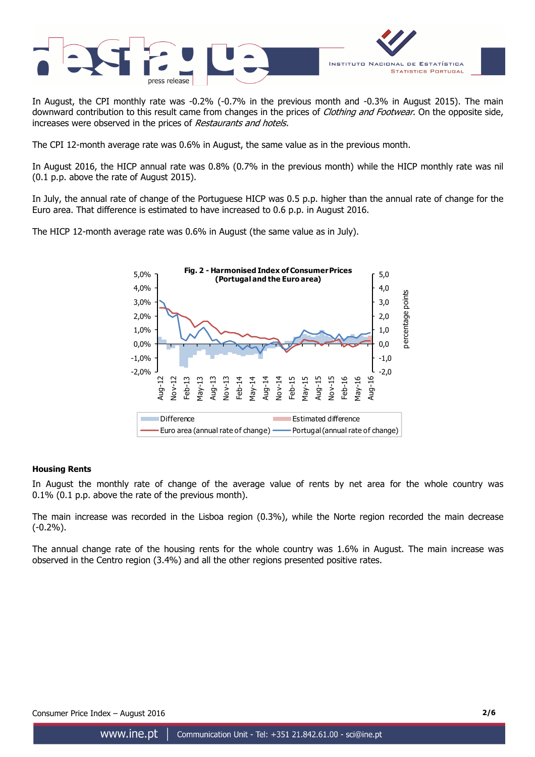

In August, the CPI monthly rate was -0.2% (-0.7% in the previous month and -0.3% in August 2015). The main downward contribution to this result came from changes in the prices of Clothing and Footwear. On the opposite side, increases were observed in the prices of Restaurants and hotels.

The CPI 12-month average rate was 0.6% in August, the same value as in the previous month.

In August 2016, the HICP annual rate was 0.8% (0.7% in the previous month) while the HICP monthly rate was nil (0.1 p.p. above the rate of August 2015).

In July, the annual rate of change of the Portuguese HICP was 0.5 p.p. higher than the annual rate of change for the Euro area. That difference is estimated to have increased to 0.6 p.p. in August 2016.

The HICP 12-month average rate was 0.6% in August (the same value as in July).



# **Housing Rents**

In August the monthly rate of change of the average value of rents by net area for the whole country was 0.1% (0.1 p.p. above the rate of the previous month).

The main increase was recorded in the Lisboa region (0.3%), while the Norte region recorded the main decrease (-0.2%).

The annual change rate of the housing rents for the whole country was 1.6% in August. The main increase was observed in the Centro region (3.4%) and all the other regions presented positive rates.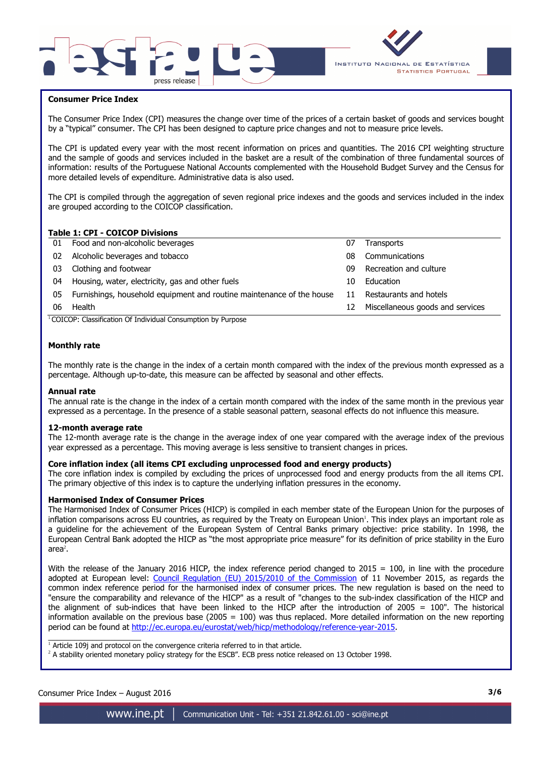



## **Consumer Price Index**

I

The Consumer Price Index (CPI) measures the change over time of the prices of a certain basket of goods and services bought by a "typical" consumer. The CPI has been designed to capture price changes and not to measure price levels.

The CPI is updated every year with the most recent information on prices and quantities. The 2016 CPI weighting structure and the sample of goods and services included in the basket are a result of the combination of three fundamental sources of information: results of the Portuguese National Accounts complemented with the Household Budget Survey and the Census for more detailed levels of expenditure. Administrative data is also used.

The CPI is compiled through the aggregation of seven regional price indexes and the goods and services included in the index are grouped according to the COICOP classification.

# **Table 1: CPI - COICOP Divisions**

|    | TUDIC 11 CI 1 COICOL DIVISIONS                                        |    |                                  |
|----|-----------------------------------------------------------------------|----|----------------------------------|
|    | 01 Food and non-alcoholic beverages                                   | 07 | <b>Transports</b>                |
| 02 | Alcoholic beverages and tobacco                                       | 08 | Communications                   |
| 03 | Clothing and footwear                                                 | n9 | Recreation and culture           |
| 04 | Housing, water, electricity, gas and other fuels                      | 10 | Education                        |
| 05 | Furnishings, household equipment and routine maintenance of the house | 11 | Restaurants and hotels           |
| 06 | Health                                                                | 12 | Miscellaneous goods and services |
|    |                                                                       |    |                                  |

<sup>1</sup>COICOP: Classification Of Individual Consumption by Purpose

### **Monthly rate**

The monthly rate is the change in the index of a certain month compared with the index of the previous month expressed as a percentage. Although up-to-date, this measure can be affected by seasonal and other effects.

#### **Annual rate**

The annual rate is the change in the index of a certain month compared with the index of the same month in the previous year expressed as a percentage. In the presence of a stable seasonal pattern, seasonal effects do not influence this measure.

#### **12-month average rate**

The 12-month average rate is the change in the average index of one year compared with the average index of the previous year expressed as a percentage. This moving average is less sensitive to transient changes in prices.

### **Core inflation index (all items CPI excluding unprocessed food and energy products)**

The core inflation index is compiled by excluding the prices of unprocessed food and energy products from the all items CPI. The primary objective of this index is to capture the underlying inflation pressures in the economy.

#### **Harmonised Index of Consumer Prices**

The Harmonised Index of Consumer Prices (HICP) is compiled in each member state of the European Union for the purposes of inflation comparisons across EU countries, as required by the Treaty on European Union<sup>1</sup>. This index plays an important role as a guideline for the achievement of the European System of Central Banks primary objective: price stability. In 1998, the European Central Bank adopted the HICP as "the most appropriate price measure" for its definition of price stability in the Euro area $^2$ .

With the release of the January 2016 HICP, the index reference period changed to  $2015 = 100$ , in line with the procedure adopted at European level: Council Regulation (EU) 2015/2010 of the Commission of 11 November 2015, as regards the common index reference period for the harmonised index of consumer prices. The new regulation is based on the need to "ensure the comparability and relevance of the HICP" as a result of "changes to the sub-index classification of the HICP and the alignment of sub-indices that have been linked to the HICP after the introduction of 2005 = 100". The historical information available on the previous base (2005 = 100) was thus replaced. More detailed information on the new reporting period can be found at http://ec.europa.eu/eurostat/web/hicp/methodology/reference-year-2015.

 $\overline{\phantom{a}}$  , and the set of the set of the set of the set of the set of the set of the set of the set of the set of the set of the set of the set of the set of the set of the set of the set of the set of the set of the s  $1$  Article 109j and protocol on the convergence criteria referred to in that article.

<sup>2</sup> A stability oriented monetary policy strategy for the ESCB". ECB press notice released on 13 October 1998.

# Consumer Price Index – August 2016 **3/6**

www.ine.pt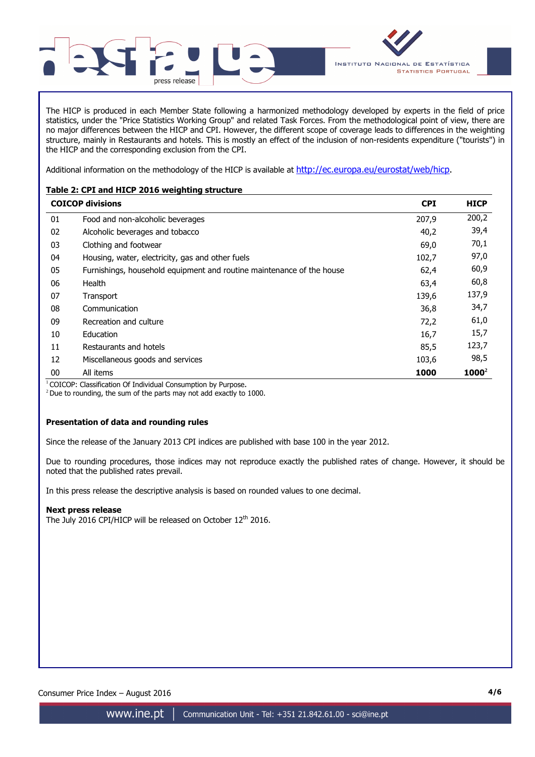

The HICP is produced in each Member State following a harmonized methodology developed by experts in the field of price statistics, under the "Price Statistics Working Group" and related Task Forces. From the methodological point of view, there are no major differences between the HICP and CPI. However, the different scope of coverage leads to differences in the weighting structure, mainly in Restaurants and hotels. This is mostly an effect of the inclusion of non-residents expenditure ("tourists") in the HICP and the corresponding exclusion from the CPI.

Additional information on the methodology of the HICP is available at http://ec.europa.eu/eurostat/web/hicp.

# **Table 2: CPI and HICP 2016 weighting structure**

|    | <b>COICOP divisions</b>                                               | <b>CPI</b> | <b>HICP</b> |
|----|-----------------------------------------------------------------------|------------|-------------|
| 01 | Food and non-alcoholic beverages                                      | 207,9      | 200,2       |
| 02 | Alcoholic beverages and tobacco                                       | 40,2       | 39,4        |
| 03 | Clothing and footwear                                                 | 69,0       | 70,1        |
| 04 | Housing, water, electricity, gas and other fuels                      | 102,7      | 97,0        |
| 05 | Furnishings, household equipment and routine maintenance of the house | 62,4       | 60,9        |
| 06 | Health                                                                | 63,4       | 60,8        |
| 07 | Transport                                                             | 139,6      | 137,9       |
| 08 | Communication                                                         | 36,8       | 34,7        |
| 09 | Recreation and culture                                                | 72,2       | 61,0        |
| 10 | <b>Education</b>                                                      | 16,7       | 15,7        |
| 11 | Restaurants and hotels                                                | 85,5       | 123,7       |
| 12 | Miscellaneous goods and services                                      | 103,6      | 98,5        |
| 00 | All items                                                             | 1000       | $1000^2$    |

<sup>1</sup> COICOP: Classification Of Individual Consumption by Purpose.

 $2$  Due to rounding, the sum of the parts may not add exactly to 1000.

# **Presentation of data and rounding rules**

Since the release of the January 2013 CPI indices are published with base 100 in the year 2012.

Due to rounding procedures, those indices may not reproduce exactly the published rates of change. However, it should be noted that the published rates prevail.

In this press release the descriptive analysis is based on rounded values to one decimal.

# **Next press release**

The July 2016 CPI/HICP will be released on October 12<sup>th</sup> 2016.

Consumer Price Index – August 2016 **4/6**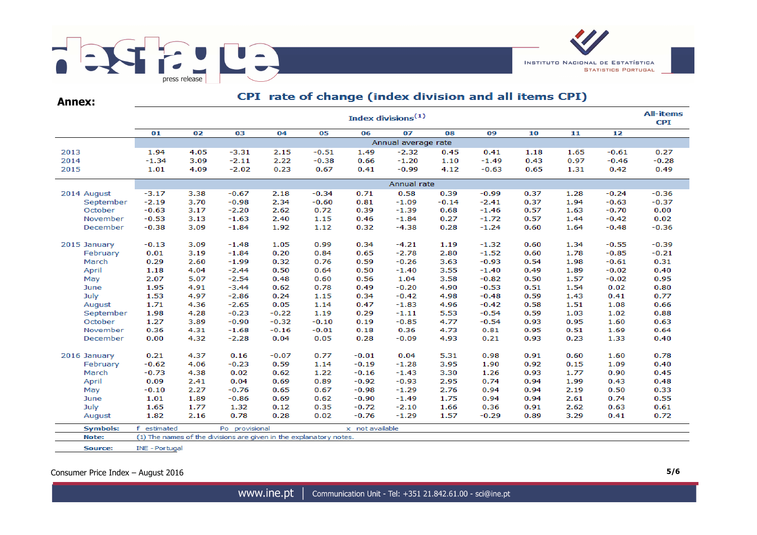

| <b>Annex:</b> |                                | CPT Tate of change (muex division and all items CPT) |         |         |         |                     |             |         |         |      |      |  |  |  |  |  |  |
|---------------|--------------------------------|------------------------------------------------------|---------|---------|---------|---------------------|-------------|---------|---------|------|------|--|--|--|--|--|--|
|               | Index divisions <sup>(1)</sup> |                                                      |         |         |         |                     |             |         |         |      |      |  |  |  |  |  |  |
|               | 01                             | 02                                                   | 03      | 04      | 05      | 06                  | 07          | 08      | 09      | 10   | 11   |  |  |  |  |  |  |
|               |                                |                                                      |         |         |         | Annual average rate |             |         |         |      |      |  |  |  |  |  |  |
| 2013          | 1.94                           | 4.05                                                 | $-3.31$ | 2.15    | $-0.51$ | 1.49                | $-2.32$     | 0.45    | 0.41    | 1.18 | 1.65 |  |  |  |  |  |  |
| 2014          | $-1.34$                        | 3.09                                                 | $-2.11$ | 2.22    | $-0.38$ | 0.66                | $-1.20$     | 1.10    | $-1.49$ | 0.43 | 0.97 |  |  |  |  |  |  |
| 2015          | 1.01                           | 4.09                                                 | $-2.02$ | 0.23    | 0.67    | 0.41                | $-0.99$     | 4.12    | $-0.63$ | 0.65 | 1.31 |  |  |  |  |  |  |
|               |                                |                                                      |         |         |         |                     | Annual rate |         |         |      |      |  |  |  |  |  |  |
| 2014 August   | $-3.17$                        | 3.38                                                 | $-0.67$ | 2.18    | $-0.34$ | 0.71                | 0.58        | 0.39    | $-0.99$ | 0.37 | 1.28 |  |  |  |  |  |  |
| September     | $-2.19$                        | 3.70                                                 | $-0.98$ | 2.34    | $-0.60$ | 0.81                | $-1.09$     | $-0.14$ | $-2.41$ | 0.37 | 1.94 |  |  |  |  |  |  |
| October       | $-0.63$                        | 3.17                                                 | $-2.20$ | 2.62    | 0.72    | 0.39                | $-1.39$     | 0.68    | $-1.46$ | 0.57 | 1.63 |  |  |  |  |  |  |
| November      | $-0.53$                        | 3.13                                                 | $-1.63$ | 2.40    | 1.15    | 0.46                | $-1.84$     | 0.27    | $-1.72$ | 0.57 | 1.44 |  |  |  |  |  |  |
| December      | $-0.38$                        | 3.09                                                 | $-1.84$ | 1.92    | 1.12    | 0.32                | $-4.38$     | 0.28    | $-1.24$ | 0.60 | 1.64 |  |  |  |  |  |  |
| 2015 January  | $-0.13$                        | 3.09                                                 | $-1.48$ | 1.05    | 0.99    | 0.34                | $-4.21$     | 1.19    | $-1.32$ | 0.60 | 1.34 |  |  |  |  |  |  |
| February      | 0.01                           | 3.19                                                 | $-1.84$ | 0.20    | 0.84    | 0.65                | $-2.78$     | 2.80    | $-1.52$ | 0.60 | 1.78 |  |  |  |  |  |  |
| March         | 0.29                           | 2.60                                                 | $-1.99$ | 0.32    | 0.76    | 0.59                | $-0.26$     | 3.63    | $-0.93$ | 0.54 | 1.98 |  |  |  |  |  |  |
| April         | 1.18                           | 4.04                                                 | $-2.44$ | 0.50    | 0.64    | 0.50                | $-1.40$     | 3.55    | $-1.40$ | 0.49 | 1.89 |  |  |  |  |  |  |
| May           | 2.07                           | 5.07                                                 | $-2.54$ | 0.48    | 0.60    | 0.56                | 1.04        | 3.58    | $-0.82$ | 0.50 | 1.57 |  |  |  |  |  |  |
| June          | 1.95                           | 4.91                                                 | $-3.44$ | 0.62    | 0.78    | 0.49                | $-0.20$     | 4.90    | $-0.53$ | 0.51 | 1.54 |  |  |  |  |  |  |
| July          | 1.53                           | 4.97                                                 | $-2.86$ | 0.24    | 1.15    | 0.34                | $-0.42$     | 4.98    | $-0.48$ | 0.59 | 1.43 |  |  |  |  |  |  |
| August        | 1.71                           | 4.36                                                 | $-2.65$ | 0.05    | 1.14    | 0.47                | $-1.83$     | 4.96    | $-0.42$ | 0.58 | 1.51 |  |  |  |  |  |  |
| September     | 1.98                           | 4.28                                                 | $-0.23$ | $-0.22$ | 1.19    | 0.29                | $-1.11$     | 5.53    | $-0.54$ | 0.59 | 1.03 |  |  |  |  |  |  |
| October       | 1.27                           | 3.89                                                 | $-0.90$ | $-0.32$ | $-0.10$ | 0.19                | $-0.85$     | 4.77    | $-0.54$ | 0.93 | 0.95 |  |  |  |  |  |  |
| November      | 0.36                           | 4.31                                                 | $-1.68$ | $-0.16$ | $-0.01$ | 0.18                | 0.36        | 4.73    | 0.81    | 0.95 | 0.51 |  |  |  |  |  |  |
| December      | 0.00                           | 4.32                                                 | $-2.28$ | 0.04    | 0.05    | 0.28                | $-0.09$     | 4.93    | 0.21    | 0.93 | 0.23 |  |  |  |  |  |  |
| 2016 January  | 0.21                           | 4.37                                                 | 0.16    | $-0.07$ | 0.77    | $-0.01$             | 0.04        | 5.31    | 0.98    | 0.91 | 0.60 |  |  |  |  |  |  |
| February      | $-0.62$                        | 4.06                                                 | $-0.23$ | 0.59    | 1.14    | $-0.19$             | $-1.28$     | 3.95    | 1.90    | 0.92 | 0.15 |  |  |  |  |  |  |
| March         | $-0.73$                        | 4.38                                                 | 0.02    | 0.62    | 1.22    | $-0.16$             | $-1.43$     | 3.30    | 1.26    | 0.93 | 1.77 |  |  |  |  |  |  |
| April         | 0.09                           | 2.41                                                 | 0.04    | 0.69    | 0.89    | $-0.92$             | $-0.93$     | 2.95    | 0.74    | 0.94 | 1.99 |  |  |  |  |  |  |
| May           | $-0.10$                        | 2.27                                                 | $-0.76$ | 0.65    | 0.67    | $-0.98$             | $-1.29$     | 2.76    | 0.94    | 0.94 | 2.19 |  |  |  |  |  |  |
| June          | 1.01                           | 1.89                                                 | $-0.86$ | 0.69    | 0.62    | $-0.90$             | $-1.49$     | 1.75    | 0.94    | 0.94 | 2.61 |  |  |  |  |  |  |
| July          | 1.65                           | 1.77                                                 | 1.32    | 0.12    | 0.35    | $-0.72$             | $-2.10$     | 1.66    | 0.36    | 0.91 | 2.62 |  |  |  |  |  |  |

 $0.02$ 

0.78

Po provisional

(1) The names of the divisions are given in the explanatory notes.

2.16

 $0.28$ 

#### e (index division and all items CPI)  $CDT = m + a$  $\mathcal{L}$   $\mathcal{L}$

Source: INE - Portugal

1.82

f estimated

Consumer Price Index – August 2016 **5/6** 

August

Note:

**Symbols:** 

**All-items CPI** 

0.27

 $-0.28$ 

0.49

 $-0.36$ 

 $-0.37$ 

 $0.00$ 

 $0.02$ 

 $-0.36$ 

 $-0.39$ 

 $-0.21$ 

 $0.31$ 

 $0.40$ 

0.95

0.80

0.77

0.66

0.88

0.63

0.64

 $0.40$ 

0.78

0.40

 $0.45$ 

0.48

0.33

0.55

 $0.61$ 

 $0.72$ 

 $\overline{12}$ 

 $-0.61$ 

 $-0.46$ 

 $0.42$ 

 $-0.24$ 

 $-0.63$ 

 $-0.70$ 

 $-0.42$ 

 $-0.48$ 

 $-0.55$ 

 $-0.85$ 

 $-0.61$ 

 $-0.02$ 

 $-0.02$ 

 $0.02$ 

 $0.41$ 

1.08

1.02

1.60

1.69

1.33

1.60

1.09

0.90

0.43

0.50

0.74

0.63

 $0.41$ 

 $-0.76$ 

x not available

 $-1.29$ 

1.57

 $-0.29$ 

0.89

3.29